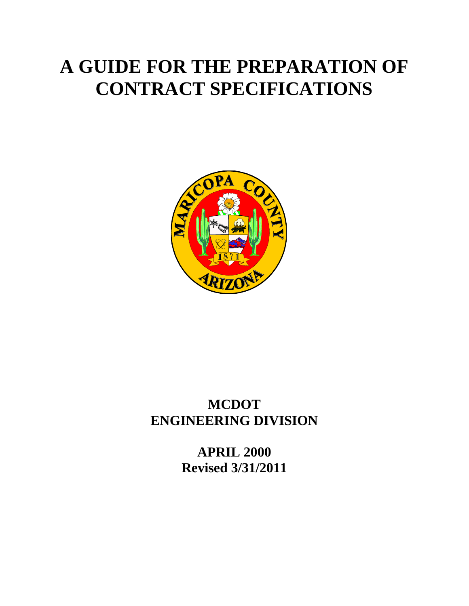# **A GUIDE FOR THE PREPARATION OF CONTRACT SPECIFICATIONS**



# **MCDOT ENGINEERING DIVISION**

**APRIL 2000 Revised 3/31/2011**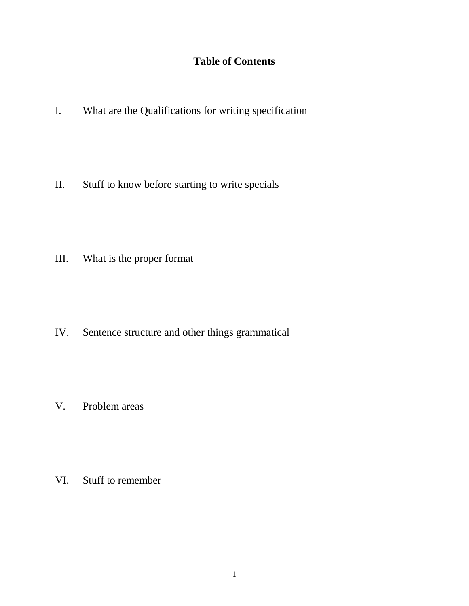# **Table of Contents**

I. What are the Qualifications for writing specification

II. Stuff to know before starting to write specials

III. What is the proper format

IV. Sentence structure and other things grammatical

V. Problem areas

VI. Stuff to remember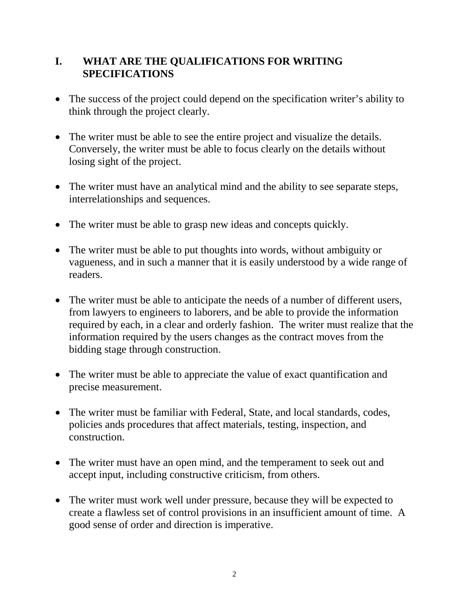# **I. WHAT ARE THE QUALIFICATIONS FOR WRITING SPECIFICATIONS**

- The success of the project could depend on the specification writer's ability to think through the project clearly.
- The writer must be able to see the entire project and visualize the details. Conversely, the writer must be able to focus clearly on the details without losing sight of the project.
- The writer must have an analytical mind and the ability to see separate steps, interrelationships and sequences.
- The writer must be able to grasp new ideas and concepts quickly.
- The writer must be able to put thoughts into words, without ambiguity or vagueness, and in such a manner that it is easily understood by a wide range of readers.
- The writer must be able to anticipate the needs of a number of different users, from lawyers to engineers to laborers, and be able to provide the information required by each, in a clear and orderly fashion. The writer must realize that the information required by the users changes as the contract moves from the bidding stage through construction.
- The writer must be able to appreciate the value of exact quantification and precise measurement.
- The writer must be familiar with Federal, State, and local standards, codes, policies ands procedures that affect materials, testing, inspection, and construction.
- The writer must have an open mind, and the temperament to seek out and accept input, including constructive criticism, from others.
- The writer must work well under pressure, because they will be expected to create a flawless set of control provisions in an insufficient amount of time. A good sense of order and direction is imperative.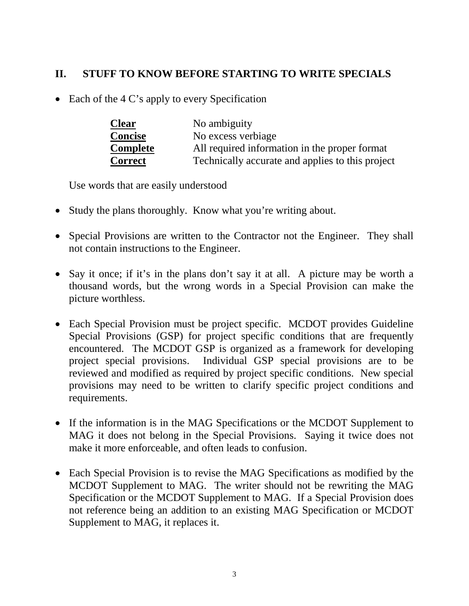# **II. STUFF TO KNOW BEFORE STARTING TO WRITE SPECIALS**

• Each of the 4 C's apply to every Specification

| <b>Clear</b>    | No ambiguity                                     |
|-----------------|--------------------------------------------------|
| <b>Concise</b>  | No excess verbiage                               |
| <b>Complete</b> | All required information in the proper format    |
| <b>Correct</b>  | Technically accurate and applies to this project |

Use words that are easily understood

- Study the plans thoroughly. Know what you're writing about.
- Special Provisions are written to the Contractor not the Engineer. They shall not contain instructions to the Engineer.
- Say it once; if it's in the plans don't say it at all. A picture may be worth a thousand words, but the wrong words in a Special Provision can make the picture worthless.
- Each Special Provision must be project specific. MCDOT provides Guideline Special Provisions (GSP) for project specific conditions that are frequently encountered. The MCDOT GSP is organized as a framework for developing project special provisions. Individual GSP special provisions are to be reviewed and modified as required by project specific conditions. New special provisions may need to be written to clarify specific project conditions and requirements.
- If the information is in the MAG Specifications or the MCDOT Supplement to MAG it does not belong in the Special Provisions. Saying it twice does not make it more enforceable, and often leads to confusion.
- Each Special Provision is to revise the MAG Specifications as modified by the MCDOT Supplement to MAG. The writer should not be rewriting the MAG Specification or the MCDOT Supplement to MAG. If a Special Provision does not reference being an addition to an existing MAG Specification or MCDOT Supplement to MAG, it replaces it.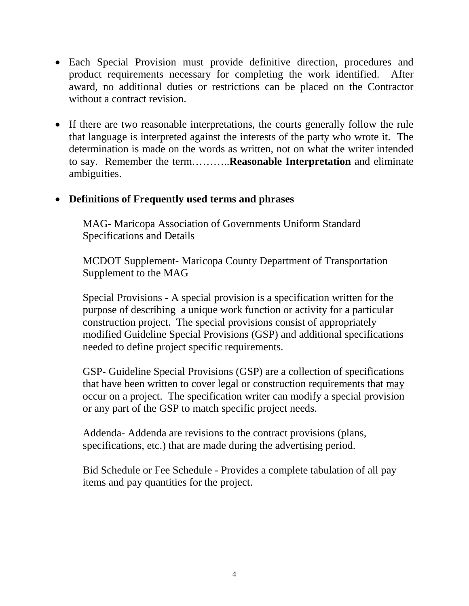- Each Special Provision must provide definitive direction, procedures and product requirements necessary for completing the work identified. After award, no additional duties or restrictions can be placed on the Contractor without a contract revision.
- If there are two reasonable interpretations, the courts generally follow the rule that language is interpreted against the interests of the party who wrote it. The determination is made on the words as written, not on what the writer intended to say. Remember the term………..**Reasonable Interpretation** and eliminate ambiguities.

### • **Definitions of Frequently used terms and phrases**

MAG- Maricopa Association of Governments Uniform Standard Specifications and Details

MCDOT Supplement- Maricopa County Department of Transportation Supplement to the MAG

Special Provisions - A special provision is a specification written for the purpose of describing a unique work function or activity for a particular construction project. The special provisions consist of appropriately modified Guideline Special Provisions (GSP) and additional specifications needed to define project specific requirements.

GSP- Guideline Special Provisions (GSP) are a collection of specifications that have been written to cover legal or construction requirements that may occur on a project. The specification writer can modify a special provision or any part of the GSP to match specific project needs.

Addenda- Addenda are revisions to the contract provisions (plans, specifications, etc.) that are made during the advertising period.

Bid Schedule or Fee Schedule - Provides a complete tabulation of all pay items and pay quantities for the project.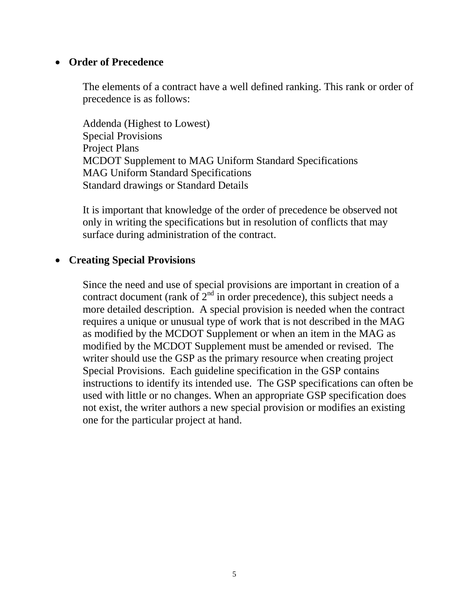#### • **Order of Precedence**

The elements of a contract have a well defined ranking. This rank or order of precedence is as follows:

Addenda (Highest to Lowest) Special Provisions Project Plans MCDOT Supplement to MAG Uniform Standard Specifications MAG Uniform Standard Specifications Standard drawings or Standard Details

It is important that knowledge of the order of precedence be observed not only in writing the specifications but in resolution of conflicts that may surface during administration of the contract.

#### • **Creating Special Provisions**

Since the need and use of special provisions are important in creation of a contract document (rank of  $2<sup>nd</sup>$  in order precedence), this subject needs a more detailed description. A special provision is needed when the contract requires a unique or unusual type of work that is not described in the MAG as modified by the MCDOT Supplement or when an item in the MAG as modified by the MCDOT Supplement must be amended or revised. The writer should use the GSP as the primary resource when creating project Special Provisions. Each guideline specification in the GSP contains instructions to identify its intended use. The GSP specifications can often be used with little or no changes. When an appropriate GSP specification does not exist, the writer authors a new special provision or modifies an existing one for the particular project at hand.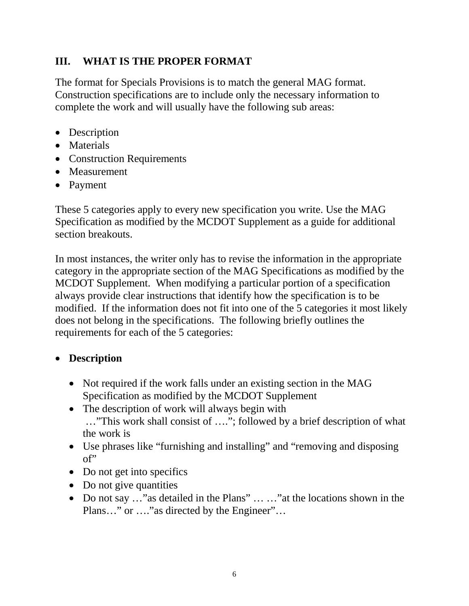# **III. WHAT IS THE PROPER FORMAT**

The format for Specials Provisions is to match the general MAG format. Construction specifications are to include only the necessary information to complete the work and will usually have the following sub areas:

- Description
- Materials
- Construction Requirements
- Measurement
- Payment

These 5 categories apply to every new specification you write. Use the MAG Specification as modified by the MCDOT Supplement as a guide for additional section breakouts.

In most instances, the writer only has to revise the information in the appropriate category in the appropriate section of the MAG Specifications as modified by the MCDOT Supplement. When modifying a particular portion of a specification always provide clear instructions that identify how the specification is to be modified. If the information does not fit into one of the 5 categories it most likely does not belong in the specifications. The following briefly outlines the requirements for each of the 5 categories:

# • **Description**

- Not required if the work falls under an existing section in the MAG Specification as modified by the MCDOT Supplement
- The description of work will always begin with …"This work shall consist of …."; followed by a brief description of what the work is
- Use phrases like "furnishing and installing" and "removing and disposing of"
- Do not get into specifics
- Do not give quantities
- Do not say ..." as detailed in the Plans" ... ..." at the locations shown in the Plans..." or ...." as directed by the Engineer"...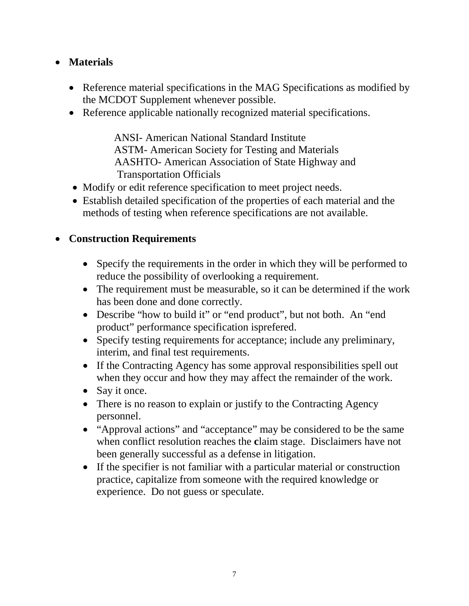# • **Materials**

- Reference material specifications in the MAG Specifications as modified by the MCDOT Supplement whenever possible.
- Reference applicable nationally recognized material specifications.

 ANSI- American National Standard Institute ASTM- American Society for Testing and Materials AASHTO- American Association of State Highway and Transportation Officials

- Modify or edit reference specification to meet project needs.
- Establish detailed specification of the properties of each material and the methods of testing when reference specifications are not available.

# • **Construction Requirements**

- Specify the requirements in the order in which they will be performed to reduce the possibility of overlooking a requirement.
- The requirement must be measurable, so it can be determined if the work has been done and done correctly.
- Describe "how to build it" or "end product", but not both. An "end" product" performance specification isprefered.
- Specify testing requirements for acceptance; include any preliminary, interim, and final test requirements.
- If the Contracting Agency has some approval responsibilities spell out when they occur and how they may affect the remainder of the work.
- Say it once.
- There is no reason to explain or justify to the Contracting Agency personnel.
- "Approval actions" and "acceptance" may be considered to be the same when conflict resolution reaches the **c**laim stage. Disclaimers have not been generally successful as a defense in litigation.
- If the specifier is not familiar with a particular material or construction practice, capitalize from someone with the required knowledge or experience. Do not guess or speculate.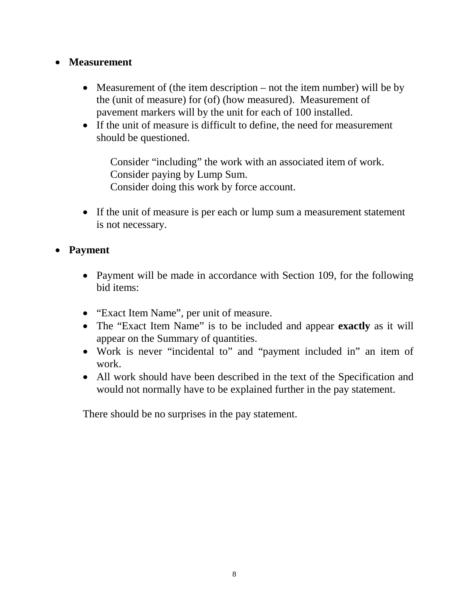# • **Measurement**

- Measurement of (the item description not the item number) will be by the (unit of measure) for (of) (how measured). Measurement of pavement markers will by the unit for each of 100 installed.
- If the unit of measure is difficult to define, the need for measurement should be questioned.

Consider "including" the work with an associated item of work. Consider paying by Lump Sum. Consider doing this work by force account.

• If the unit of measure is per each or lump sum a measurement statement is not necessary.

# • **Payment**

- Payment will be made in accordance with Section 109, for the following bid items:
- "Exact Item Name", per unit of measure.
- The "Exact Item Name" is to be included and appear **exactly** as it will appear on the Summary of quantities.
- Work is never "incidental to" and "payment included in" an item of work.
- All work should have been described in the text of the Specification and would not normally have to be explained further in the pay statement.

There should be no surprises in the pay statement.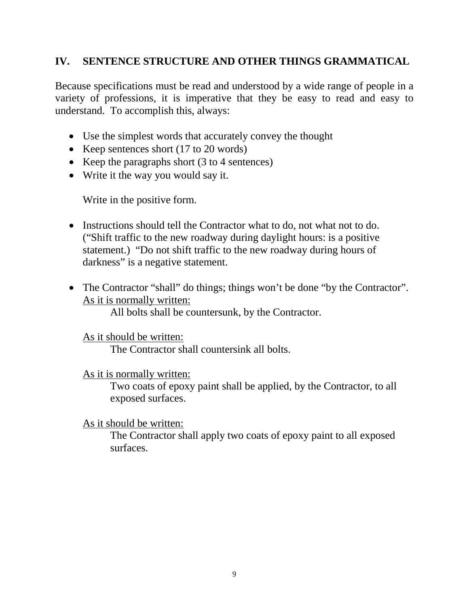# **IV. SENTENCE STRUCTURE AND OTHER THINGS GRAMMATICAL**

Because specifications must be read and understood by a wide range of people in a variety of professions, it is imperative that they be easy to read and easy to understand. To accomplish this, always:

- Use the simplest words that accurately convey the thought
- Keep sentences short (17 to 20 words)
- Keep the paragraphs short (3 to 4 sentences)
- Write it the way you would say it.

Write in the positive form.

- Instructions should tell the Contractor what to do, not what not to do. ("Shift traffic to the new roadway during daylight hours: is a positive statement.) "Do not shift traffic to the new roadway during hours of darkness" is a negative statement.
- The Contractor "shall" do things; things won't be done "by the Contractor". As it is normally written:

All bolts shall be countersunk, by the Contractor.

As it should be written:

The Contractor shall countersink all bolts.

As it is normally written:

Two coats of epoxy paint shall be applied, by the Contractor, to all exposed surfaces.

#### As it should be written:

The Contractor shall apply two coats of epoxy paint to all exposed surfaces.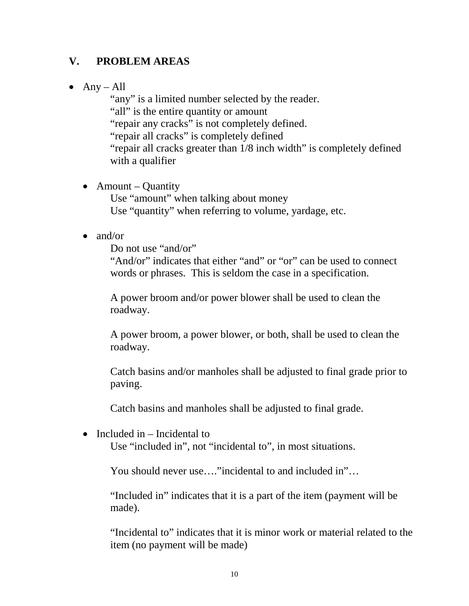# **V. PROBLEM AREAS**

• Any – All

"any" is a limited number selected by the reader. "all" is the entire quantity or amount "repair any cracks" is not completely defined. "repair all cracks" is completely defined "repair all cracks greater than 1/8 inch width" is completely defined with a qualifier

- Amount Quantity Use "amount" when talking about money Use "quantity" when referring to volume, yardage, etc.
- and/or

Do not use "and/or"

"And/or" indicates that either "and" or "or" can be used to connect words or phrases. This is seldom the case in a specification.

A power broom and/or power blower shall be used to clean the roadway.

A power broom, a power blower, or both, shall be used to clean the roadway.

Catch basins and/or manholes shall be adjusted to final grade prior to paving.

Catch basins and manholes shall be adjusted to final grade.

• Included in – Incidental to

Use "included in", not "incidental to", in most situations.

You should never use…."incidental to and included in"…

"Included in" indicates that it is a part of the item (payment will be made).

"Incidental to" indicates that it is minor work or material related to the item (no payment will be made)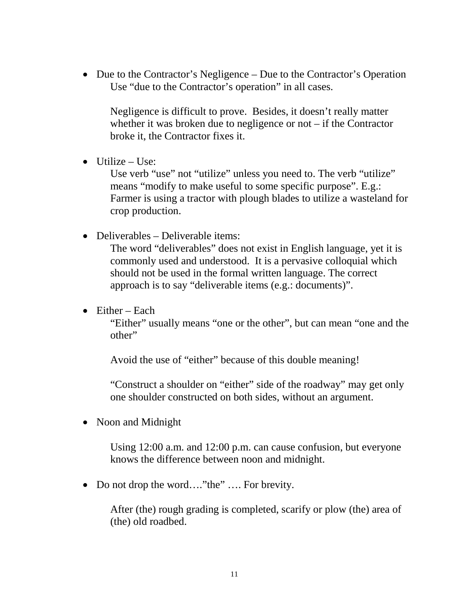• Due to the Contractor's Negligence – Due to the Contractor's Operation Use "due to the Contractor's operation" in all cases.

Negligence is difficult to prove. Besides, it doesn't really matter whether it was broken due to negligence or not – if the Contractor broke it, the Contractor fixes it.

 $\bullet$  Utilize – Use:

Use verb "use" not "utilize" unless you need to. The verb "utilize" means "modify to make useful to some specific purpose". E.g.: Farmer is using a tractor with plough blades to utilize a wasteland for crop production.

• Deliverables – Deliverable items:

The word "deliverables" does not exist in English language, yet it is commonly used and understood. It is a pervasive colloquial which should not be used in the formal written language. The correct approach is to say "deliverable items (e.g.: documents)".

• Either – Each

"Either" usually means "one or the other", but can mean "one and the other"

Avoid the use of "either" because of this double meaning!

"Construct a shoulder on "either" side of the roadway" may get only one shoulder constructed on both sides, without an argument.

• Noon and Midnight

Using 12:00 a.m. and 12:00 p.m. can cause confusion, but everyone knows the difference between noon and midnight.

• Do not drop the word...."the" .... For brevity.

After (the) rough grading is completed, scarify or plow (the) area of (the) old roadbed.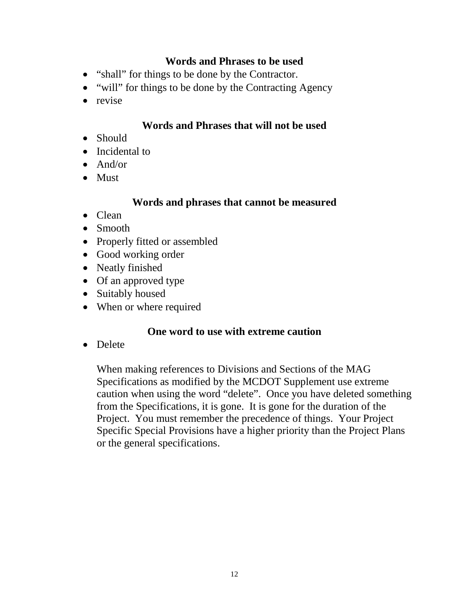#### **Words and Phrases to be used**

- "shall" for things to be done by the Contractor.
- "will" for things to be done by the Contracting Agency
- revise

#### **Words and Phrases that will not be used**

- Should
- Incidental to
- And/or
- Must

#### **Words and phrases that cannot be measured**

- Clean
- Smooth
- Properly fitted or assembled
- Good working order
- Neatly finished
- Of an approved type
- Suitably housed
- When or where required

#### **One word to use with extreme caution**

• Delete

When making references to Divisions and Sections of the MAG Specifications as modified by the MCDOT Supplement use extreme caution when using the word "delete". Once you have deleted something from the Specifications, it is gone. It is gone for the duration of the Project. You must remember the precedence of things. Your Project Specific Special Provisions have a higher priority than the Project Plans or the general specifications.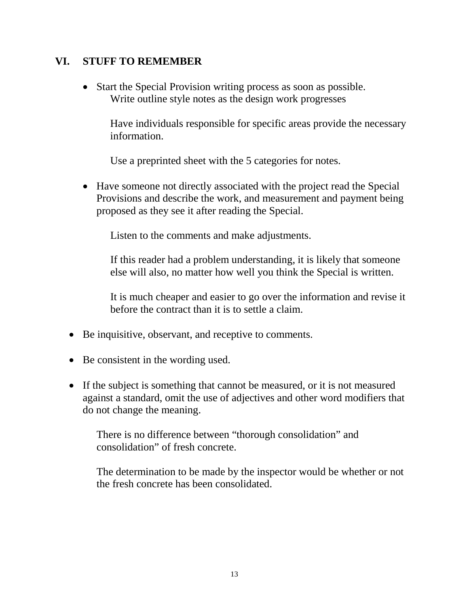#### **VI. STUFF TO REMEMBER**

• Start the Special Provision writing process as soon as possible. Write outline style notes as the design work progresses

Have individuals responsible for specific areas provide the necessary information.

Use a preprinted sheet with the 5 categories for notes.

• Have some not directly associated with the project read the Special Provisions and describe the work, and measurement and payment being proposed as they see it after reading the Special.

Listen to the comments and make adjustments.

If this reader had a problem understanding, it is likely that someone else will also, no matter how well you think the Special is written.

It is much cheaper and easier to go over the information and revise it before the contract than it is to settle a claim.

- Be inquisitive, observant, and receptive to comments.
- Be consistent in the wording used.
- If the subject is something that cannot be measured, or it is not measured against a standard, omit the use of adjectives and other word modifiers that do not change the meaning.

There is no difference between "thorough consolidation" and consolidation" of fresh concrete.

The determination to be made by the inspector would be whether or not the fresh concrete has been consolidated.